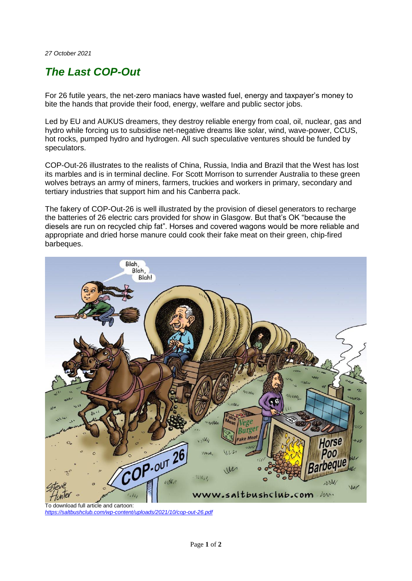*27 October 2021*

## *The Last COP-Out*

For 26 futile years, the net-zero maniacs have wasted fuel, energy and taxpayer's money to bite the hands that provide their food, energy, welfare and public sector jobs.

Led by EU and AUKUS dreamers, they destroy reliable energy from coal, oil, nuclear, gas and hydro while forcing us to subsidise net-negative dreams like solar, wind, wave-power, CCUS, hot rocks, pumped hydro and hydrogen. All such speculative ventures should be funded by speculators.

COP-Out-26 illustrates to the realists of China, Russia, India and Brazil that the West has lost its marbles and is in terminal decline. For Scott Morrison to surrender Australia to these green wolves betrays an army of miners, farmers, truckies and workers in primary, secondary and tertiary industries that support him and his Canberra pack.

The fakery of COP-Out-26 is well illustrated by the provision of diesel generators to recharge the batteries of 26 electric cars provided for show in Glasgow. But that's OK "because the diesels are run on recycled chip fat". Horses and covered wagons would be more reliable and appropriate and dried horse manure could cook their fake meat on their green, chip-fired barbeques.



*<https://saltbushclub.com/wp-content/uploads/2021/10/cop-out-26.pdf>*